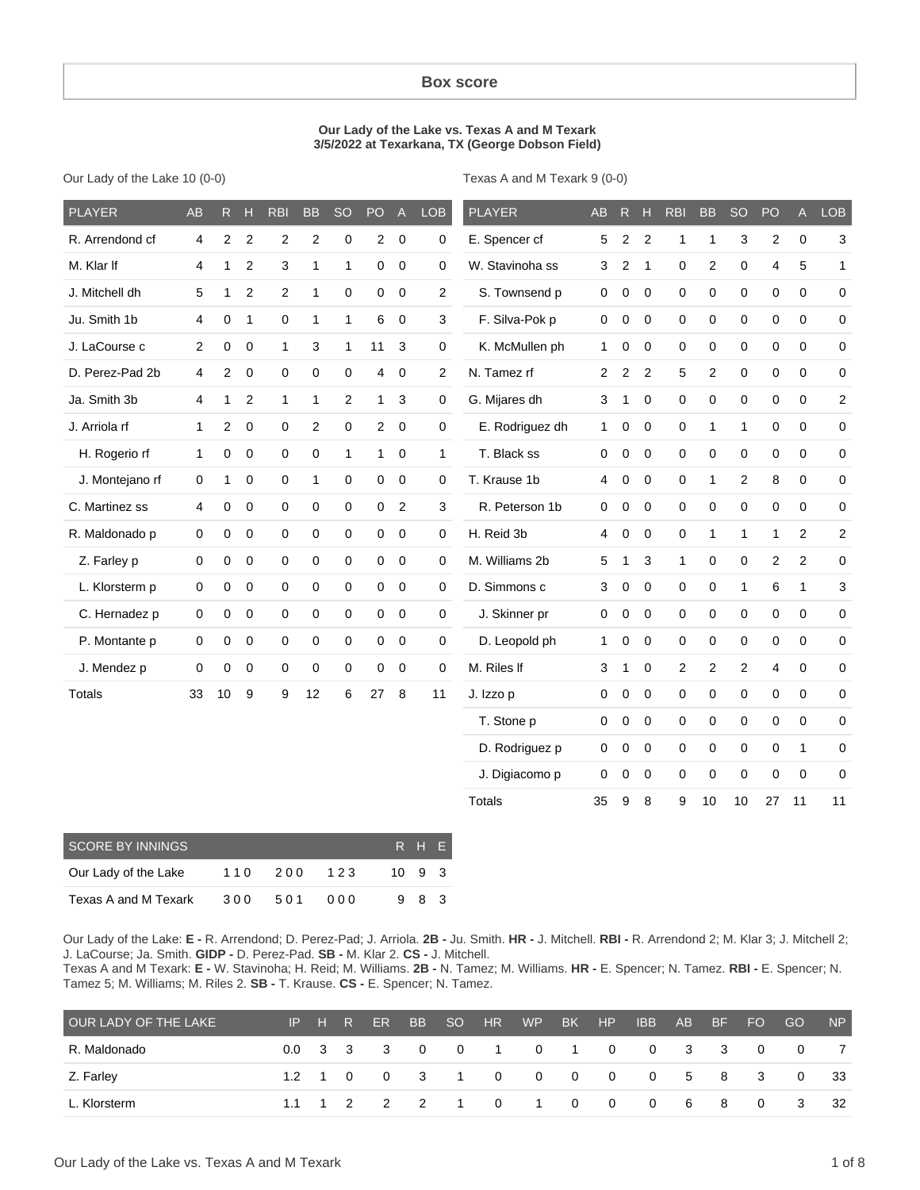#### **Box score**

#### **Our Lady of the Lake vs. Texas A and M Texark 3/5/2022 at Texarkana, TX (George Dobson Field)**

Our Lady of the Lake 10 (0-0)

Texas A and M Texark 9 (0-0)

| <b>PLAYER</b>           | <b>AB</b>           | R.                  | н                | <b>RBI</b>          | <b>BB</b>      | <b>SO</b>      | PO                      | $\mathsf{A}$   | <b>LOB</b>          | <b>PLAYER</b>   | <b>AB</b>      | $\mathsf{R}$     | H                | <b>RBI</b>     | <b>BB</b>      | <b>SO</b>                 | PO             | $\mathsf{A}$   | <b>LOB</b>   |
|-------------------------|---------------------|---------------------|------------------|---------------------|----------------|----------------|-------------------------|----------------|---------------------|-----------------|----------------|------------------|------------------|----------------|----------------|---------------------------|----------------|----------------|--------------|
| R. Arrendond cf         | 4                   | $\overline{c}$      | $\overline{c}$   | $\overline{c}$      | $\overline{c}$ | $\mathbf 0$    | $\overline{\mathbf{c}}$ | $\pmb{0}$      | $\boldsymbol{0}$    | E. Spencer cf   | 5              | $\overline{c}$   | $\overline{c}$   | $\mathbf{1}$   | $\mathbf{1}$   | $\ensuremath{\mathsf{3}}$ | $\mathbf 2$    | $\pmb{0}$      | 3            |
| M. Klar If              | 4                   | 1                   | $\boldsymbol{2}$ | 3                   | $\mathbf{1}$   | $\mathbf{1}$   | $\boldsymbol{0}$        | $\pmb{0}$      | $\mathbf 0$         | W. Stavinoha ss | 3              | $\overline{c}$   | $\mathbf{1}$     | $\mathbf 0$    | $\overline{c}$ | $\pmb{0}$                 | 4              | 5              | $\mathbf{1}$ |
| J. Mitchell dh          | 5                   | 1                   | $\overline{2}$   | $\overline{c}$      | $\mathbf{1}$   | $\mathbf 0$    | 0                       | $\mathbf 0$    | $\overline{2}$      | S. Townsend p   | $\mathbf 0$    | 0                | $\mathbf 0$      | 0              | $\mathbf 0$    | $\mathsf 0$               | $\mathbf 0$    | $\mathbf 0$    | 0            |
| Ju. Smith 1b            | 4                   | $\boldsymbol{0}$    | $\mathbf{1}$     | $\mathsf{O}\xspace$ | $\mathbf{1}$   | $\mathbf{1}$   | 6                       | $\mathbf 0$    | 3                   | F. Silva-Pok p  | $\mathbf 0$    | $\pmb{0}$        | $\mathbf 0$      | $\mathbf 0$    | $\pmb{0}$      | $\pmb{0}$                 | 0              | $\mathbf 0$    | $\mathbf 0$  |
| J. LaCourse c           | $\overline{2}$      | $\mathbf 0$         | $\mathbf 0$      | $\mathbf{1}$        | 3              | $\mathbf{1}$   | 11                      | 3              | $\mathbf 0$         | K. McMullen ph  | $\mathbf{1}$   | $\mathbf 0$      | $\mathbf 0$      | 0              | $\mathbf 0$    | $\mathbf 0$               | $\mathbf 0$    | $\mathbf 0$    | 0            |
| D. Perez-Pad 2b         | 4                   | 2                   | 0                | $\mathbf 0$         | 0              | $\mathbf 0$    | 4                       | 0              | $\overline{2}$      | N. Tamez rf     | $\overline{2}$ | $\overline{c}$   | $\overline{2}$   | 5              | 2              | 0                         | 0              | 0              | 0            |
| Ja. Smith 3b            | 4                   | 1                   | $\overline{c}$   | $\mathbf{1}$        | $\mathbf{1}$   | $\overline{c}$ | $\mathbf{1}$            | 3              | 0                   | G. Mijares dh   | 3              | $\mathbf{1}$     | 0                | 0              | $\mathbf 0$    | 0                         | $\mathbf 0$    | $\mathbf 0$    | $\sqrt{2}$   |
| J. Arriola rf           | 1                   | $\overline{2}$      | $\mathbf 0$      | 0                   | 2              | $\mathbf 0$    | $\overline{c}$          | 0              | $\mathbf 0$         | E. Rodriguez dh | 1.             | 0                | $\mathbf 0$      | 0              | $\mathbf{1}$   | $\mathbf{1}$              | 0              | $\pmb{0}$      | $\mathbf 0$  |
| H. Rogerio rf           | 1                   | 0                   | $\mathbf 0$      | $\mathsf{O}\xspace$ | 0              | $\mathbf{1}$   | $\mathbf{1}$            | $\pmb{0}$      | 1                   | T. Black ss     | $\mathbf 0$    | 0                | $\mathbf 0$      | $\mathbf 0$    | $\mathbf 0$    | $\mathbf 0$               | $\mathbf 0$    | $\pmb{0}$      | $\pmb{0}$    |
| J. Montejano rf         | 0                   | $\mathbf{1}$        | $\mathbf 0$      | $\mathbf 0$         | $\mathbf{1}$   | 0              | $\boldsymbol{0}$        | $\mathbf 0$    | $\mathbf 0$         | T. Krause 1b    | 4              | $\pmb{0}$        | $\mathbf 0$      | $\mathbf 0$    | $\mathbf{1}$   | $\overline{c}$            | 8              | $\mathbf 0$    | $\mathbf 0$  |
| C. Martinez ss          | 4                   | 0                   | $\mathbf 0$      | $\mathbf 0$         | 0              | 0              | $\mathbf 0$             | $\overline{2}$ | 3                   | R. Peterson 1b  | $\mathbf 0$    | $\mathbf 0$      | 0                | 0              | $\mathbf 0$    | $\mathsf 0$               | $\mathbf 0$    | $\mathbf 0$    | $\pmb{0}$    |
| R. Maldonado p          | $\mathsf{O}\xspace$ | 0                   | $\pmb{0}$        | $\mathsf{O}\xspace$ | $\mathbf 0$    | 0              | $\mathbf 0$             | $\mathbf 0$    | $\mathsf{O}\xspace$ | H. Reid 3b      | 4              | $\pmb{0}$        | $\mathbf 0$      | $\mathbf 0$    | $\mathbf{1}$   | $\mathbf{1}$              | $\mathbf{1}$   | $\overline{2}$ | $\sqrt{2}$   |
| Z. Farley p             | 0                   | $\mathbf 0$         | $\mathbf 0$      | $\mathbf 0$         | 0              | $\mathbf 0$    | $\mathbf 0$             | $\mathbf 0$    | 0                   | M. Williams 2b  | 5              | $\mathbf{1}$     | 3                | $\mathbf{1}$   | $\mathbf 0$    | $\mathsf 0$               | $\mathbf{2}$   | $\overline{2}$ | $\mathbf 0$  |
| L. Klorsterm p          | $\mathbf 0$         | $\mathsf{O}\xspace$ | $\pmb{0}$        | $\mathbf 0$         | $\mathbf 0$    | $\mathbf 0$    | $\mathsf 0$             | $\pmb{0}$      | $\mathbf 0$         | D. Simmons c    | 3              | $\pmb{0}$        | $\mathbf 0$      | $\pmb{0}$      | $\mathbf 0$    | $\mathbf{1}$              | 6              | $\mathbf{1}$   | $\sqrt{3}$   |
| C. Hernadez p           | 0                   | 0                   | $\mathbf 0$      | $\mathbf 0$         | 0              | 0              | $\pmb{0}$               | $\mathbf 0$    | $\mathbf 0$         | J. Skinner pr   | 0              | $\pmb{0}$        | $\mathbf 0$      | $\mathbf 0$    | $\pmb{0}$      | $\pmb{0}$                 | 0              | $\mathbf 0$    | $\mathbf 0$  |
| P. Montante p           | 0                   | $\mathbf 0$         | $\mathbf 0$      | $\mathbf 0$         | 0              | 0              | $\mathbf 0$             | $\mathbf 0$    | $\mathbf 0$         | D. Leopold ph   | $\mathbf{1}$   | 0                | $\Omega$         | $\mathbf 0$    | $\mathbf 0$    | $\mathbf 0$               | $\mathbf 0$    | $\mathbf 0$    | $\mathbf 0$  |
| J. Mendez p             | 0                   | 0                   | $\mathbf 0$      | $\mathsf 0$         | 0              | 0              | 0                       | $\pmb{0}$      | $\mathbf 0$         | M. Riles If     | 3              | $\mathbf{1}$     | $\mathbf 0$      | $\overline{2}$ | $\overline{2}$ | $\overline{c}$            | $\overline{4}$ | $\mathbf 0$    | $\mathbf 0$  |
| <b>Totals</b>           | 33                  | 10                  | 9                | 9                   | 12             | 6              | 27                      | 8              | 11                  | J. Izzo p       | 0              | 0                | $\mathbf 0$      | $\mathbf 0$    | $\mathbf 0$    | $\mathbf 0$               | $\mathbf 0$    | $\mathbf 0$    | $\mathbf 0$  |
|                         |                     |                     |                  |                     |                |                |                         |                |                     | T. Stone p      | 0              | 0                | $\boldsymbol{0}$ | $\mathbf 0$    | $\pmb{0}$      | $\mathsf 0$               | 0              | $\mathbf 0$    | 0            |
|                         |                     |                     |                  |                     |                |                |                         |                |                     | D. Rodriguez p  | $\mathbf 0$    | $\mathbf 0$      | $\mathbf 0$      | 0              | $\pmb{0}$      | $\pmb{0}$                 | $\pmb{0}$      | $\mathbf{1}$   | 0            |
|                         |                     |                     |                  |                     |                |                |                         |                |                     | J. Digiacomo p  | 0              | 0                | 0                | 0              | $\mathbf 0$    | $\mathbf 0$               | $\mathbf 0$    | $\mathbf 0$    | $\mathbf 0$  |
|                         |                     |                     |                  |                     |                |                |                         |                |                     | <b>Totals</b>   | 35             | $\boldsymbol{9}$ | 8                | 9              | 10             | 10                        | 27             | 11             | 11           |
| <b>SCORE BY INNINGS</b> |                     |                     |                  |                     |                |                |                         |                | R H E               |                 |                |                  |                  |                |                |                           |                |                |              |

| SCORE BY INNINGS     |     |     |     |              | R H F |  |
|----------------------|-----|-----|-----|--------------|-------|--|
| Our Lady of the Lake | 110 | 200 | 123 | $10 \t9 \t3$ |       |  |
| Texas A and M Texark | 300 | 501 | 000 |              | 983   |  |

Our Lady of the Lake: **E -** R. Arrendond; D. Perez-Pad; J. Arriola. **2B -** Ju. Smith. **HR -** J. Mitchell. **RBI -** R. Arrendond 2; M. Klar 3; J. Mitchell 2; J. LaCourse; Ja. Smith. **GIDP -** D. Perez-Pad. **SB -** M. Klar 2. **CS -** J. Mitchell.

Texas A and M Texark: **E -** W. Stavinoha; H. Reid; M. Williams. **2B -** N. Tamez; M. Williams. **HR -** E. Spencer; N. Tamez. **RBI -** E. Spencer; N. Tamez 5; M. Williams; M. Riles 2. **SB -** T. Krause. **CS -** E. Spencer; N. Tamez.

| OUR LADY OF THE LAKE |  |  |  | IP H R ER BB SO HR WP BK HP IBB AB BF FO |  |  |  | GO -                            | NP |
|----------------------|--|--|--|------------------------------------------|--|--|--|---------------------------------|----|
| R. Maldonado         |  |  |  |                                          |  |  |  | 0.0 3 3 3 0 0 1 0 1 0 0 3 3 0 0 |    |
| Z. Farley            |  |  |  |                                          |  |  |  | 1.2 1 0 0 3 1 0 0 0 0 0 5 8 3 0 | 33 |
| L. Klorsterm         |  |  |  |                                          |  |  |  | 1.1 1 2 2 2 1 0 1 0 0 0 6 8 0 3 | 32 |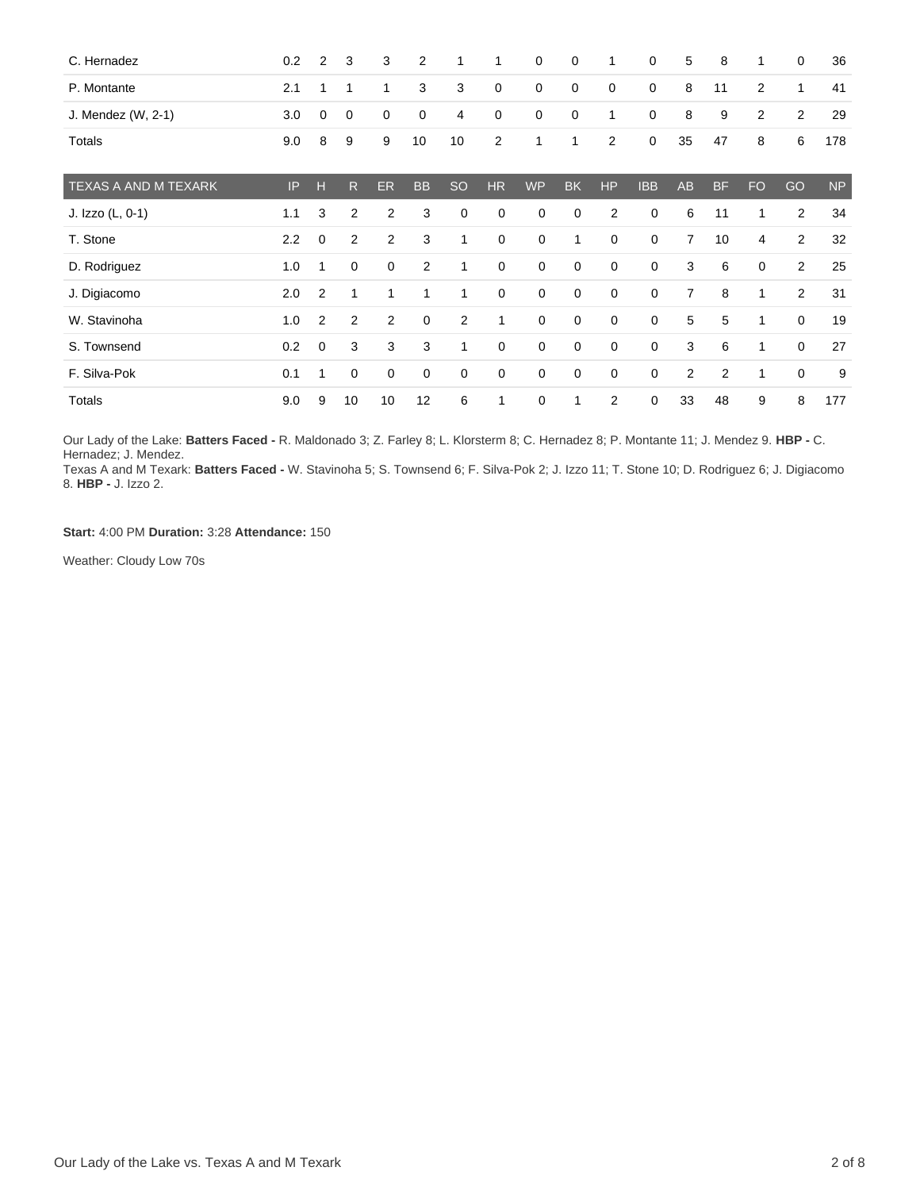| C. Hernadez          | 0.2 | 2           | 3              | 3              | 2              | 1            | 1              | 0           | $\mathbf 0$ | 1              | $\mathbf 0$ | 5              | 8              | 1            | $\mathbf 0$    | 36        |
|----------------------|-----|-------------|----------------|----------------|----------------|--------------|----------------|-------------|-------------|----------------|-------------|----------------|----------------|--------------|----------------|-----------|
| P. Montante          | 2.1 | 1           | 1              | 1              | 3              | 3            | $\mathbf 0$    | 0           | $\mathbf 0$ | 0              | $\mathbf 0$ | 8              | 11             | 2            | $\mathbf{1}$   | 41        |
| J. Mendez (W, 2-1)   | 3.0 | 0           | 0              | $\mathbf 0$    | 0              | 4            | $\mathbf 0$    | 0           | $\mathbf 0$ | 1              | 0           | 8              | 9              | 2            | 2              | 29        |
| <b>Totals</b>        | 9.0 | 8           | 9              | 9              | 10             | 10           | $\overline{2}$ | 1           | 1           | 2              | 0           | 35             | 47             | 8            | 6              | 178       |
| TEXAS A AND M TEXARK | IP  | н           | R              | ER             | <b>BB</b>      | <b>SO</b>    | <b>HR</b>      | <b>WP</b>   | <b>BK</b>   | <b>HP</b>      | <b>IBB</b>  | AB             | <b>BF</b>      | <b>FO</b>    | GO             | <b>NP</b> |
| J. Izzo (L, 0-1)     | 1.1 | 3           | $\overline{2}$ | $\overline{2}$ | 3              | $\mathbf 0$  | 0              | $\mathbf 0$ | $\mathbf 0$ | $\overline{2}$ | 0           | 6              | 11             | 1            | $\overline{2}$ | 34        |
| T. Stone             | 2.2 | $\mathbf 0$ | $\overline{2}$ | $\overline{2}$ | 3              | 1            | $\mathbf 0$    | $\mathbf 0$ | 1           | 0              | 0           | 7              | 10             | 4            | 2              | 32        |
| D. Rodriguez         | 1.0 | 1           | 0              | 0              | $\overline{2}$ | $\mathbf{1}$ | $\mathbf 0$    | $\mathbf 0$ | $\mathbf 0$ | 0              | 0           | 3              | 6              | $\mathbf 0$  | $\overline{2}$ | 25        |
| J. Digiacomo         | 2.0 | 2           | 1              | 1              | 1              | 1            | $\mathbf 0$    | $\mathbf 0$ | $\mathbf 0$ | $\mathbf 0$    | 0           | $\overline{7}$ | 8              | $\mathbf{1}$ | $\overline{2}$ | 31        |
| W. Stavinoha         | 1.0 | 2           | 2              | $\overline{2}$ | $\mathbf 0$    | 2            | 1              | $\mathbf 0$ | $\mathbf 0$ | $\mathbf 0$    | 0           | 5              | 5              | 1            | 0              | 19        |
| S. Townsend          | 0.2 | $\mathbf 0$ | 3              | 3              | 3              | 1            | $\mathbf 0$    | $\mathbf 0$ | $\mathbf 0$ | 0              | 0           | 3              | 6              | 1            | 0              | 27        |
| F. Silva-Pok         | 0.1 | 1           | 0              | 0              | $\mathbf 0$    | 0            | 0              | $\mathbf 0$ | $\mathbf 0$ | 0              | 0           | 2              | $\overline{2}$ | 1            | 0              | 9         |
| <b>Totals</b>        | 9.0 | 9           | 10             | 10             | 12             | 6            | $\mathbf{1}$   | $\mathbf 0$ | 1           | $\overline{2}$ | 0           | 33             | 48             | 9            | 8              | 177       |

Our Lady of the Lake: **Batters Faced -** R. Maldonado 3; Z. Farley 8; L. Klorsterm 8; C. Hernadez 8; P. Montante 11; J. Mendez 9. **HBP -** C. Hernadez; J. Mendez.

Texas A and M Texark: **Batters Faced -** W. Stavinoha 5; S. Townsend 6; F. Silva-Pok 2; J. Izzo 11; T. Stone 10; D. Rodriguez 6; J. Digiacomo 8. **HBP -** J. Izzo 2.

**Start:** 4:00 PM **Duration:** 3:28 **Attendance:** 150

Weather: Cloudy Low 70s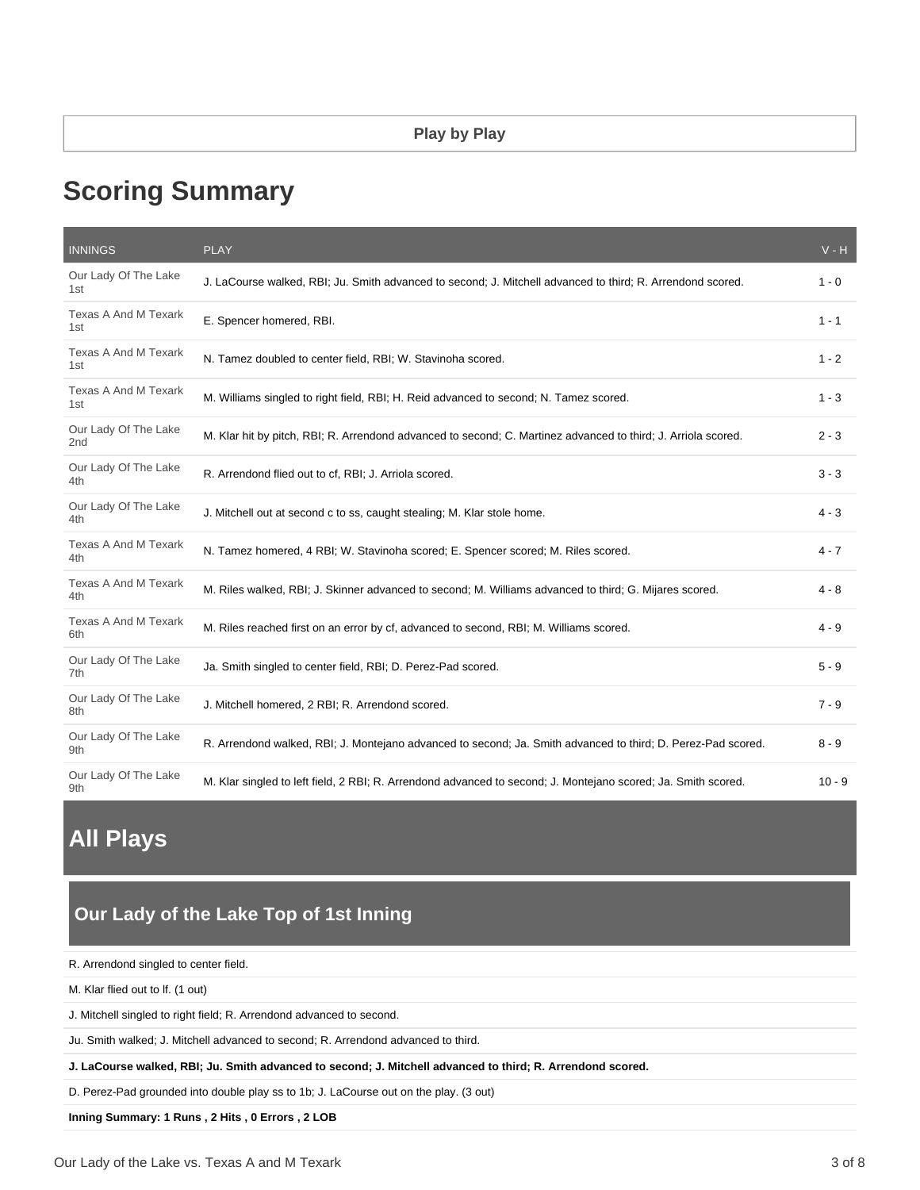# **Scoring Summary**

| <b>INNINGS</b>                          | <b>PLAY</b>                                                                                                   | $V - H$  |
|-----------------------------------------|---------------------------------------------------------------------------------------------------------------|----------|
| Our Lady Of The Lake<br>1st             | J. LaCourse walked, RBI; Ju. Smith advanced to second; J. Mitchell advanced to third; R. Arrendond scored.    | $1 - 0$  |
| Texas A And M Texark<br>1st             | E. Spencer homered, RBI.                                                                                      | $1 - 1$  |
| <b>Texas A And M Texark</b><br>1st      | N. Tamez doubled to center field, RBI; W. Stavinoha scored.                                                   | $1 - 2$  |
| Texas A And M Texark<br>1st             | M. Williams singled to right field, RBI; H. Reid advanced to second; N. Tamez scored.                         | $1 - 3$  |
| Our Lady Of The Lake<br>2 <sub>nd</sub> | M. Klar hit by pitch, RBI; R. Arrendond advanced to second; C. Martinez advanced to third; J. Arriola scored. | 2 - 3    |
| Our Lady Of The Lake<br>4th             | R. Arrendond flied out to cf, RBI; J. Arriola scored.                                                         | $3 - 3$  |
| Our Lady Of The Lake<br>4th             | J. Mitchell out at second c to ss, caught stealing; M. Klar stole home.                                       | $4 - 3$  |
| Texas A And M Texark<br>4th             | N. Tamez homered, 4 RBI; W. Stavinoha scored; E. Spencer scored; M. Riles scored.                             | $4 - 7$  |
| Texas A And M Texark<br>4th             | M. Riles walked, RBI; J. Skinner advanced to second; M. Williams advanced to third; G. Mijares scored.        | 4 - 8    |
| Texas A And M Texark<br>6th             | M. Riles reached first on an error by cf, advanced to second, RBI; M. Williams scored.                        | 4 - 9    |
| Our Lady Of The Lake<br>7th             | Ja. Smith singled to center field, RBI; D. Perez-Pad scored.                                                  | $5 - 9$  |
| Our Lady Of The Lake<br>8th             | J. Mitchell homered, 2 RBI; R. Arrendond scored.                                                              | $7 - 9$  |
| Our Lady Of The Lake<br>9th             | R. Arrendond walked, RBI; J. Montejano advanced to second; Ja. Smith advanced to third; D. Perez-Pad scored.  | $8 - 9$  |
| Our Lady Of The Lake<br>9th             | M. Klar singled to left field, 2 RBI; R. Arrendond advanced to second; J. Montejano scored; Ja. Smith scored. | $10 - 9$ |

# **All Plays**

# **Our Lady of the Lake Top of 1st Inning**

| R. Arrendond singled to center field. |  |  |  |
|---------------------------------------|--|--|--|
|---------------------------------------|--|--|--|

M. Klar flied out to lf. (1 out)

J. Mitchell singled to right field; R. Arrendond advanced to second.

Ju. Smith walked; J. Mitchell advanced to second; R. Arrendond advanced to third.

**J. LaCourse walked, RBI; Ju. Smith advanced to second; J. Mitchell advanced to third; R. Arrendond scored.**

D. Perez-Pad grounded into double play ss to 1b; J. LaCourse out on the play. (3 out)

**Inning Summary: 1 Runs , 2 Hits , 0 Errors , 2 LOB**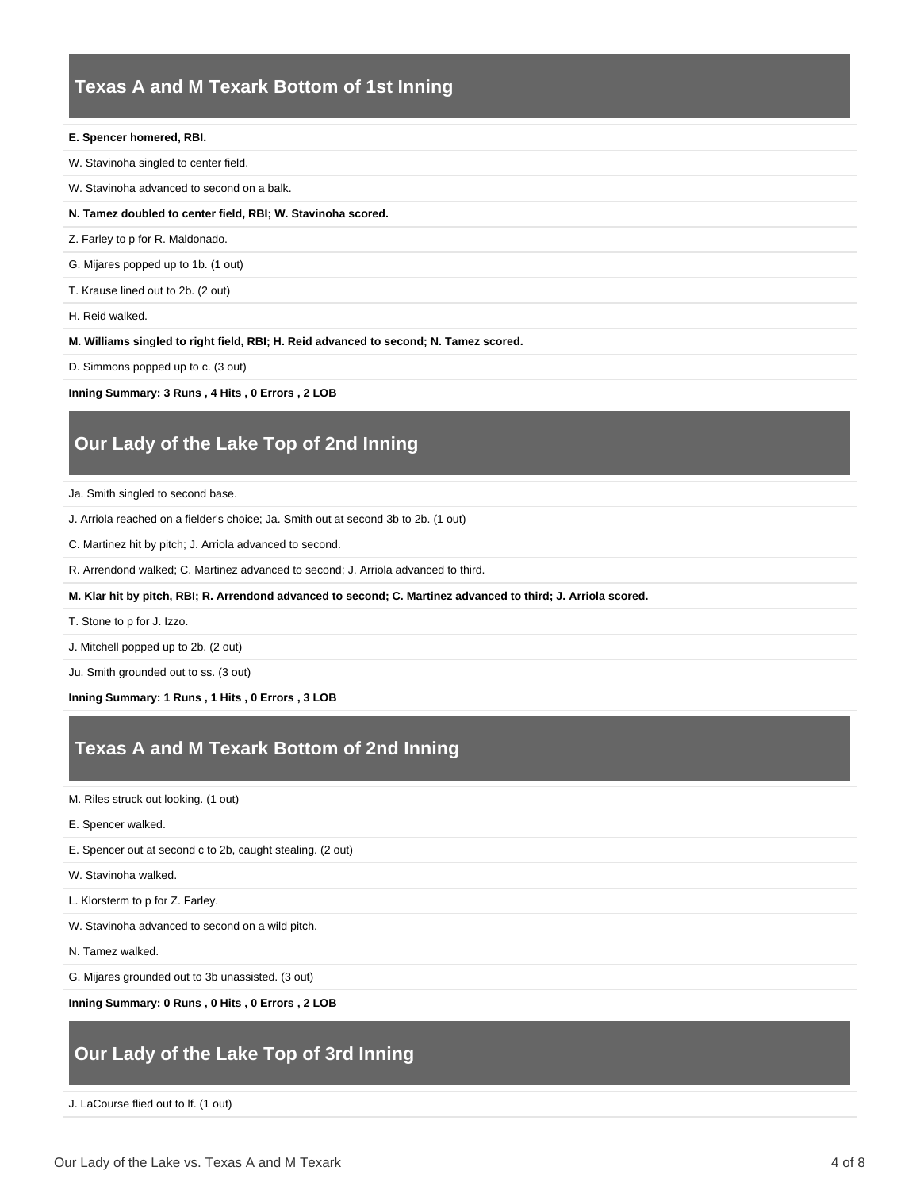# **Texas A and M Texark Bottom of 1st Inning**

#### **E. Spencer homered, RBI.**

- W. Stavinoha singled to center field.
- W. Stavinoha advanced to second on a balk.

#### **N. Tamez doubled to center field, RBI; W. Stavinoha scored.**

- Z. Farley to p for R. Maldonado.
- G. Mijares popped up to 1b. (1 out)
- T. Krause lined out to 2b. (2 out)

H. Reid walked.

**M. Williams singled to right field, RBI; H. Reid advanced to second; N. Tamez scored.**

D. Simmons popped up to c. (3 out)

**Inning Summary: 3 Runs , 4 Hits , 0 Errors , 2 LOB**

# **Our Lady of the Lake Top of 2nd Inning**

Ja. Smith singled to second base.

- J. Arriola reached on a fielder's choice; Ja. Smith out at second 3b to 2b. (1 out)
- C. Martinez hit by pitch; J. Arriola advanced to second.
- R. Arrendond walked; C. Martinez advanced to second; J. Arriola advanced to third.
- **M. Klar hit by pitch, RBI; R. Arrendond advanced to second; C. Martinez advanced to third; J. Arriola scored.**
- T. Stone to p for J. Izzo.
- J. Mitchell popped up to 2b. (2 out)

Ju. Smith grounded out to ss. (3 out)

**Inning Summary: 1 Runs , 1 Hits , 0 Errors , 3 LOB**

### **Texas A and M Texark Bottom of 2nd Inning**

M. Riles struck out looking. (1 out)

E. Spencer walked.

E. Spencer out at second c to 2b, caught stealing. (2 out)

W. Stavinoha walked.

L. Klorsterm to p for Z. Farley.

W. Stavinoha advanced to second on a wild pitch.

N. Tamez walked.

G. Mijares grounded out to 3b unassisted. (3 out)

**Inning Summary: 0 Runs , 0 Hits , 0 Errors , 2 LOB**

# **Our Lady of the Lake Top of 3rd Inning**

J. LaCourse flied out to lf. (1 out)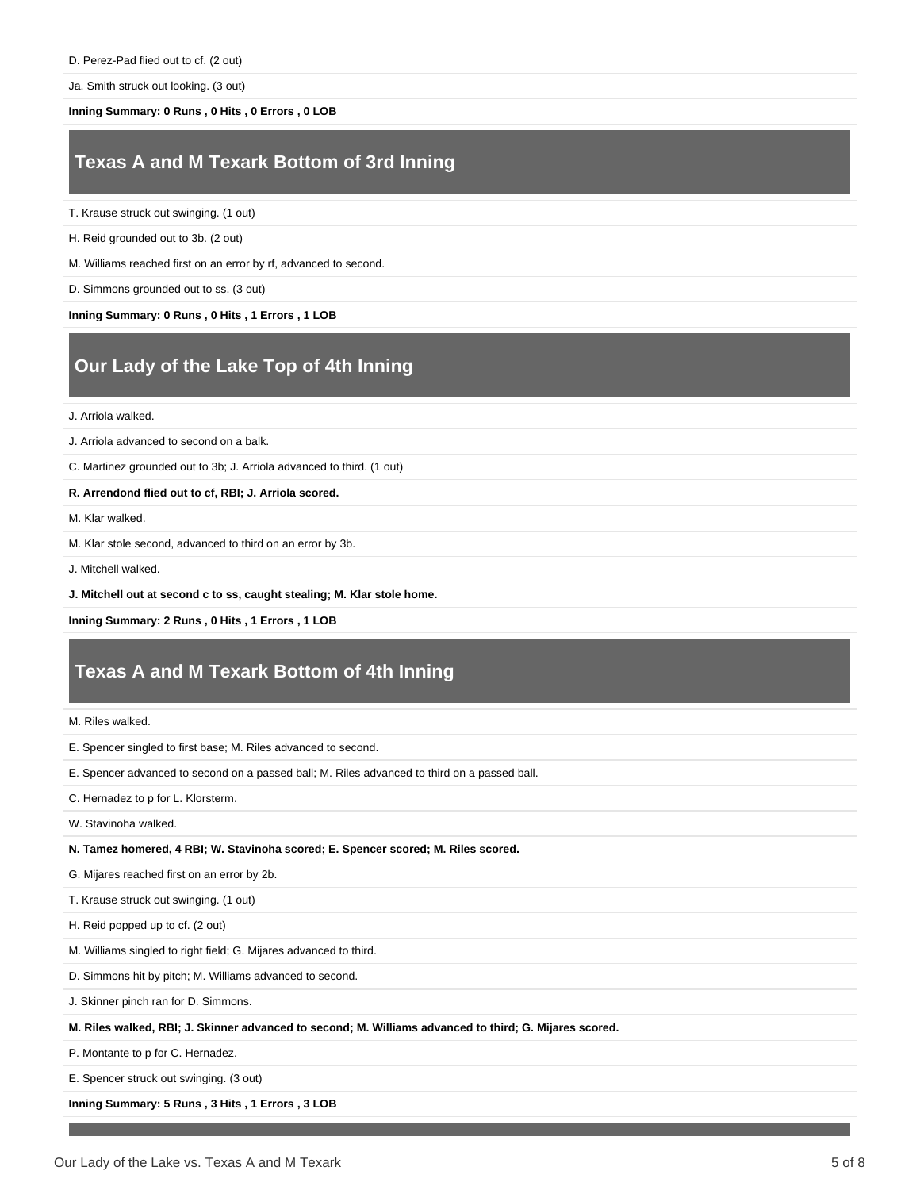Ja. Smith struck out looking. (3 out)

**Inning Summary: 0 Runs , 0 Hits , 0 Errors , 0 LOB**

### **Texas A and M Texark Bottom of 3rd Inning**

T. Krause struck out swinging. (1 out)

H. Reid grounded out to 3b. (2 out)

M. Williams reached first on an error by rf, advanced to second.

D. Simmons grounded out to ss. (3 out)

**Inning Summary: 0 Runs , 0 Hits , 1 Errors , 1 LOB**

# **Our Lady of the Lake Top of 4th Inning**

J. Arriola walked.

J. Arriola advanced to second on a balk.

C. Martinez grounded out to 3b; J. Arriola advanced to third. (1 out)

#### **R. Arrendond flied out to cf, RBI; J. Arriola scored.**

M. Klar walked.

M. Klar stole second, advanced to third on an error by 3b.

J. Mitchell walked.

**J. Mitchell out at second c to ss, caught stealing; M. Klar stole home.**

**Inning Summary: 2 Runs , 0 Hits , 1 Errors , 1 LOB**

### **Texas A and M Texark Bottom of 4th Inning**

M. Riles walked.

E. Spencer singled to first base; M. Riles advanced to second.

E. Spencer advanced to second on a passed ball; M. Riles advanced to third on a passed ball.

C. Hernadez to p for L. Klorsterm.

W. Stavinoha walked.

**N. Tamez homered, 4 RBI; W. Stavinoha scored; E. Spencer scored; M. Riles scored.**

G. Mijares reached first on an error by 2b.

T. Krause struck out swinging. (1 out)

H. Reid popped up to cf. (2 out)

M. Williams singled to right field; G. Mijares advanced to third.

D. Simmons hit by pitch; M. Williams advanced to second.

J. Skinner pinch ran for D. Simmons.

**M. Riles walked, RBI; J. Skinner advanced to second; M. Williams advanced to third; G. Mijares scored.**

P. Montante to p for C. Hernadez.

E. Spencer struck out swinging. (3 out)

**Inning Summary: 5 Runs , 3 Hits , 1 Errors , 3 LOB**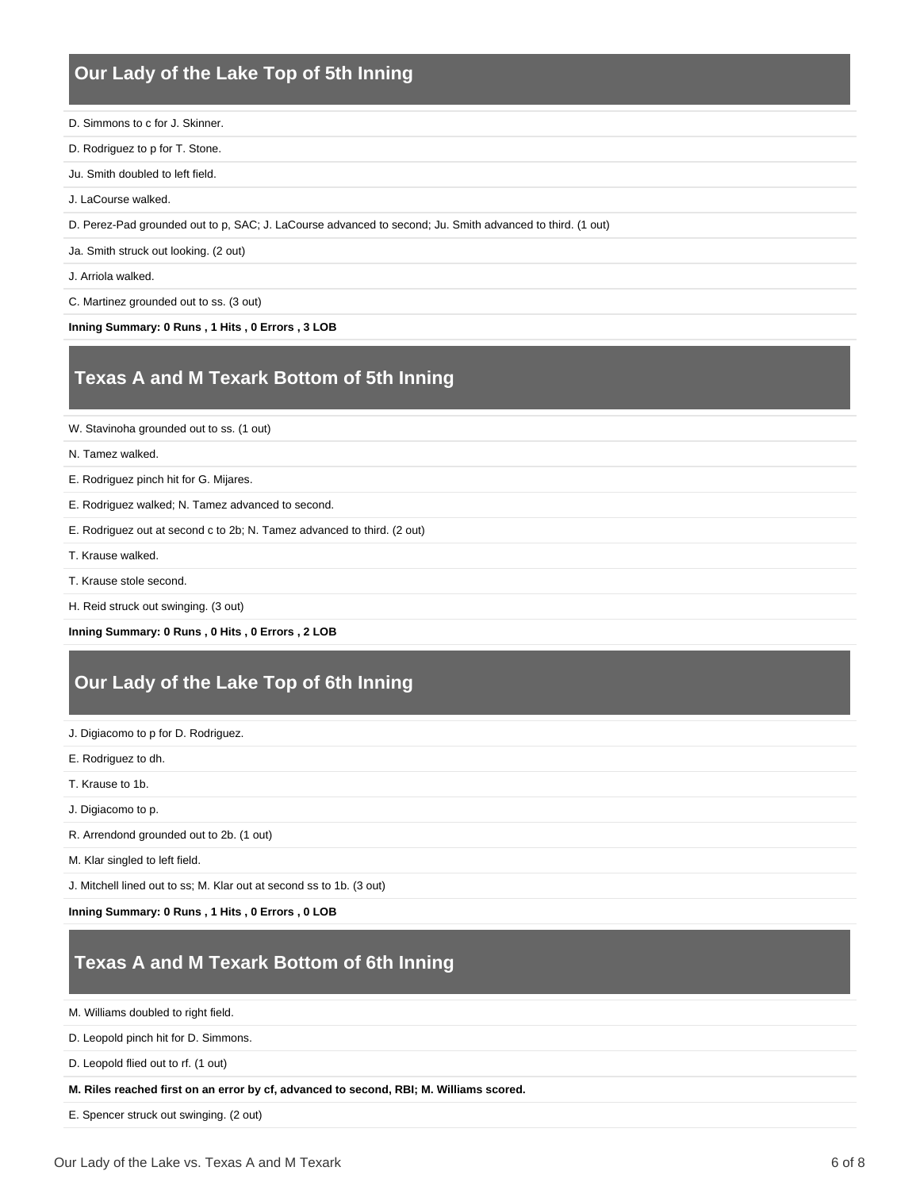# **Our Lady of the Lake Top of 5th Inning**

- D. Simmons to c for J. Skinner.
- D. Rodriguez to p for T. Stone.
- Ju. Smith doubled to left field.
- J. LaCourse walked.
- D. Perez-Pad grounded out to p, SAC; J. LaCourse advanced to second; Ju. Smith advanced to third. (1 out)
- Ja. Smith struck out looking. (2 out)
- J. Arriola walked.
- C. Martinez grounded out to ss. (3 out)
- **Inning Summary: 0 Runs , 1 Hits , 0 Errors , 3 LOB**

### **Texas A and M Texark Bottom of 5th Inning**

- W. Stavinoha grounded out to ss. (1 out)
- N. Tamez walked.
- E. Rodriguez pinch hit for G. Mijares.
- E. Rodriguez walked; N. Tamez advanced to second.
- E. Rodriguez out at second c to 2b; N. Tamez advanced to third. (2 out)
- T. Krause walked.
- T. Krause stole second.
- H. Reid struck out swinging. (3 out)
- **Inning Summary: 0 Runs , 0 Hits , 0 Errors , 2 LOB**

# **Our Lady of the Lake Top of 6th Inning**

- J. Digiacomo to p for D. Rodriguez.
- E. Rodriguez to dh.
- T. Krause to 1b.
- J. Digiacomo to p.
- R. Arrendond grounded out to 2b. (1 out)
- M. Klar singled to left field.
- J. Mitchell lined out to ss; M. Klar out at second ss to 1b. (3 out)
- **Inning Summary: 0 Runs , 1 Hits , 0 Errors , 0 LOB**

### **Texas A and M Texark Bottom of 6th Inning**

M. Williams doubled to right field.

D. Leopold pinch hit for D. Simmons.

D. Leopold flied out to rf. (1 out)

**M. Riles reached first on an error by cf, advanced to second, RBI; M. Williams scored.**

E. Spencer struck out swinging. (2 out)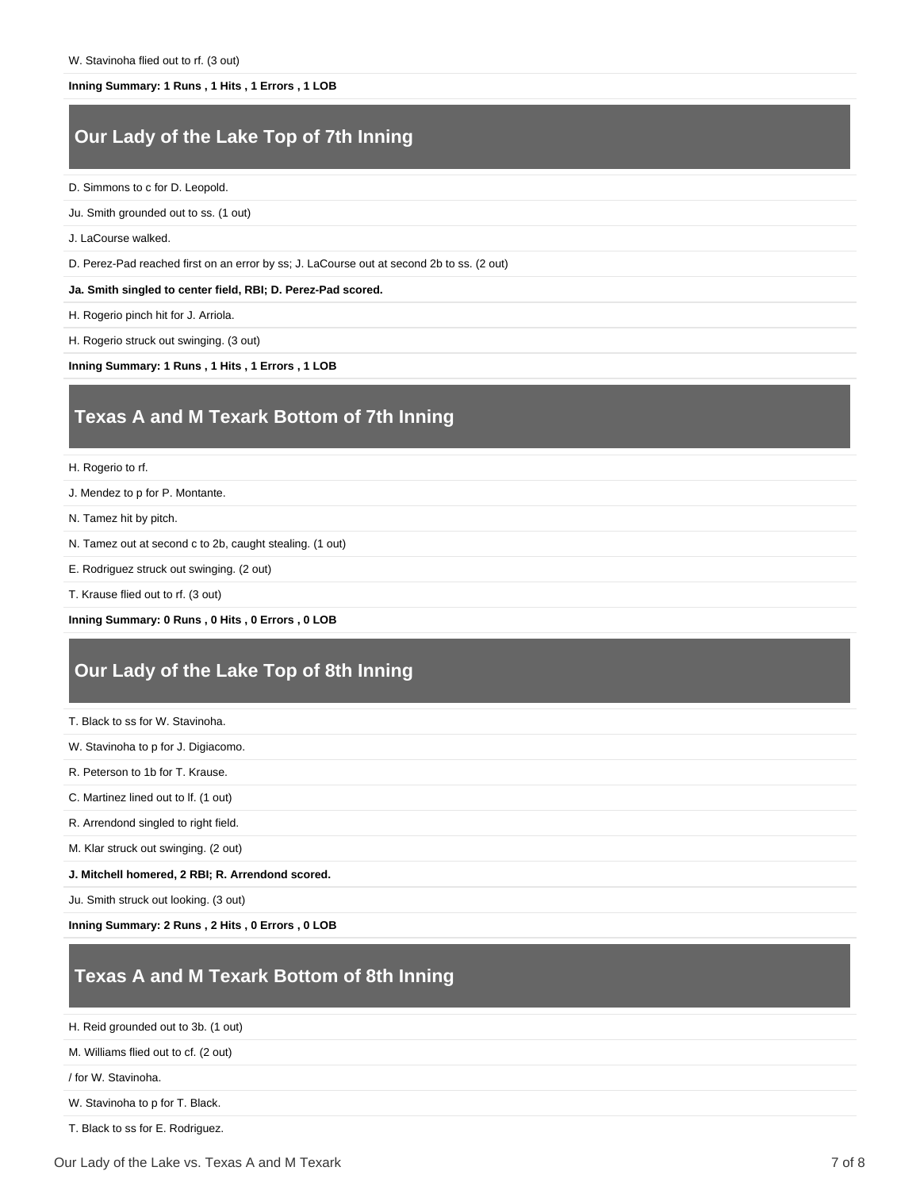#### **Inning Summary: 1 Runs , 1 Hits , 1 Errors , 1 LOB**

# **Our Lady of the Lake Top of 7th Inning**

D. Simmons to c for D. Leopold.

Ju. Smith grounded out to ss. (1 out)

J. LaCourse walked.

D. Perez-Pad reached first on an error by ss; J. LaCourse out at second 2b to ss. (2 out)

**Ja. Smith singled to center field, RBI; D. Perez-Pad scored.**

H. Rogerio pinch hit for J. Arriola.

H. Rogerio struck out swinging. (3 out)

**Inning Summary: 1 Runs , 1 Hits , 1 Errors , 1 LOB**

### **Texas A and M Texark Bottom of 7th Inning**

H. Rogerio to rf.

J. Mendez to p for P. Montante.

N. Tamez hit by pitch.

N. Tamez out at second c to 2b, caught stealing. (1 out)

E. Rodriguez struck out swinging. (2 out)

T. Krause flied out to rf. (3 out)

**Inning Summary: 0 Runs , 0 Hits , 0 Errors , 0 LOB**

### **Our Lady of the Lake Top of 8th Inning**

T. Black to ss for W. Stavinoha.

W. Stavinoha to p for J. Digiacomo.

R. Peterson to 1b for T. Krause.

C. Martinez lined out to lf. (1 out)

R. Arrendond singled to right field.

M. Klar struck out swinging. (2 out)

**J. Mitchell homered, 2 RBI; R. Arrendond scored.**

Ju. Smith struck out looking. (3 out)

**Inning Summary: 2 Runs , 2 Hits , 0 Errors , 0 LOB**

# **Texas A and M Texark Bottom of 8th Inning**

H. Reid grounded out to 3b. (1 out)

M. Williams flied out to cf. (2 out)

/ for W. Stavinoha.

W. Stavinoha to p for T. Black.

T. Black to ss for E. Rodriguez.

Our Lady of the Lake vs. Texas A and M Texark 7 of 8